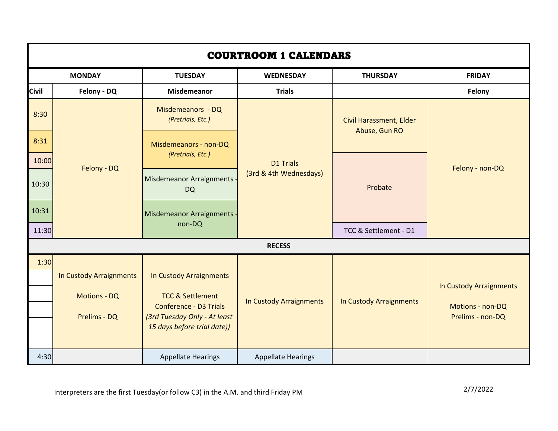| <b>COURTROOM 1 CALENDARS</b> |                         |                                                             |                                            |                                                 |                         |  |
|------------------------------|-------------------------|-------------------------------------------------------------|--------------------------------------------|-------------------------------------------------|-------------------------|--|
| <b>MONDAY</b>                |                         | <b>TUESDAY</b>                                              | <b>WEDNESDAY</b>                           | <b>THURSDAY</b>                                 | <b>FRIDAY</b>           |  |
| <b>Civil</b>                 | Felony - DQ             | <b>Misdemeanor</b>                                          | <b>Trials</b>                              |                                                 | Felony                  |  |
| 8:30                         | Felony - DQ             | Misdemeanors - DQ<br>(Pretrials, Etc.)                      | <b>D1 Trials</b><br>(3rd & 4th Wednesdays) | <b>Civil Harassment, Elder</b><br>Abuse, Gun RO | Felony - non-DQ         |  |
| 8:31                         |                         | Misdemeanors - non-DQ<br>(Pretrials, Etc.)                  |                                            |                                                 |                         |  |
| 10:00                        |                         |                                                             |                                            | Probate                                         |                         |  |
| 10:30                        |                         | Misdemeanor Arraignments<br><b>DQ</b>                       |                                            |                                                 |                         |  |
| 10:31                        |                         | Misdemeanor Arraignments -                                  |                                            |                                                 |                         |  |
| 11:30                        |                         | non-DQ                                                      |                                            | TCC & Settlement - D1                           |                         |  |
| <b>RECESS</b>                |                         |                                                             |                                            |                                                 |                         |  |
| 1:30                         |                         |                                                             |                                            |                                                 |                         |  |
|                              | In Custody Arraignments | In Custody Arraignments                                     |                                            |                                                 |                         |  |
|                              | <b>Motions - DQ</b>     | <b>TCC &amp; Settlement</b>                                 |                                            |                                                 | In Custody Arraignments |  |
|                              |                         | <b>Conference - D3 Trials</b>                               | In Custody Arraignments                    | In Custody Arraignments                         | Motions - non-DQ        |  |
|                              | Prelims - DQ            | (3rd Tuesday Only - At least<br>15 days before trial date)) |                                            |                                                 | Prelims - non-DQ        |  |
|                              |                         |                                                             |                                            |                                                 |                         |  |
| 4:30                         |                         | <b>Appellate Hearings</b>                                   | <b>Appellate Hearings</b>                  |                                                 |                         |  |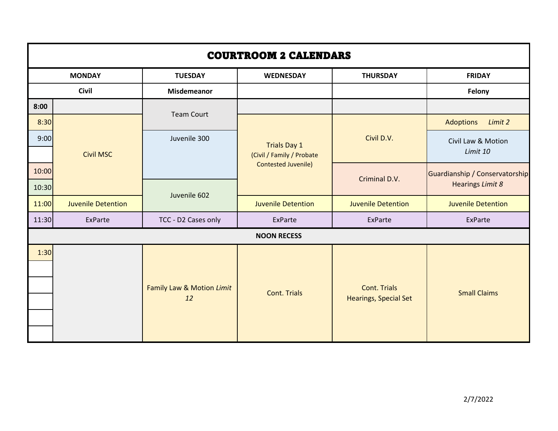| <b>COURTROOM 2 CALENDARS</b> |                           |                           |                                                                                |                              |                                                           |  |
|------------------------------|---------------------------|---------------------------|--------------------------------------------------------------------------------|------------------------------|-----------------------------------------------------------|--|
| <b>MONDAY</b>                |                           | <b>TUESDAY</b>            | <b>WEDNESDAY</b>                                                               | <b>THURSDAY</b>              | <b>FRIDAY</b>                                             |  |
| <b>Civil</b>                 |                           | <b>Misdemeanor</b>        |                                                                                |                              | Felony                                                    |  |
| 8:00                         |                           | <b>Team Court</b>         |                                                                                |                              |                                                           |  |
| 8:30                         |                           |                           |                                                                                |                              | <b>Adoptions</b><br>Limit 2                               |  |
| 9:00                         | <b>Civil MSC</b>          | Juvenile 300              | <b>Trials Day 1</b><br>(Civil / Family / Probate<br><b>Contested Juvenile)</b> | Civil D.V.                   | Civil Law & Motion<br>Limit 10                            |  |
|                              |                           |                           |                                                                                |                              |                                                           |  |
| 10:00                        |                           |                           |                                                                                | Criminal D.V.                | Guardianship / Conservatorship<br><b>Hearings Limit 8</b> |  |
| 10:30                        |                           | Juvenile 602              |                                                                                |                              |                                                           |  |
| 11:00                        | <b>Juvenile Detention</b> |                           | <b>Juvenile Detention</b>                                                      | <b>Juvenile Detention</b>    | <b>Juvenile Detention</b>                                 |  |
| 11:30                        | ExParte                   | TCC - D2 Cases only       | ExParte                                                                        | ExParte                      | <b>ExParte</b>                                            |  |
|                              | <b>NOON RECESS</b>        |                           |                                                                                |                              |                                                           |  |
| 1:30                         |                           |                           |                                                                                |                              |                                                           |  |
|                              |                           |                           |                                                                                |                              |                                                           |  |
|                              |                           | Family Law & Motion Limit | <b>Cont. Trials</b>                                                            | <b>Cont. Trials</b>          | <b>Small Claims</b>                                       |  |
|                              |                           | 12                        |                                                                                | <b>Hearings, Special Set</b> |                                                           |  |
|                              |                           |                           |                                                                                |                              |                                                           |  |
|                              |                           |                           |                                                                                |                              |                                                           |  |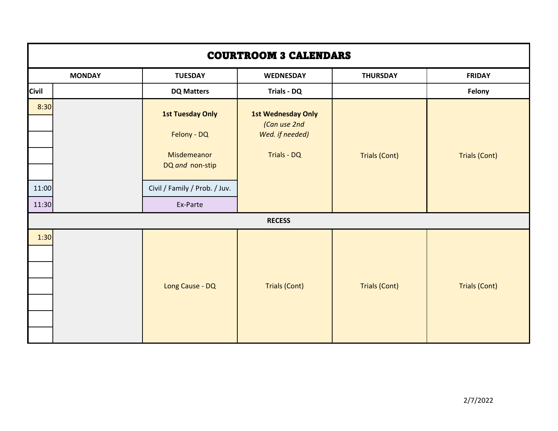| <b>COURTROOM 3 CALENDARS</b> |                                                                                                                       |                                                                             |                      |                      |  |  |
|------------------------------|-----------------------------------------------------------------------------------------------------------------------|-----------------------------------------------------------------------------|----------------------|----------------------|--|--|
| <b>MONDAY</b>                | <b>TUESDAY</b>                                                                                                        | <b>WEDNESDAY</b>                                                            | <b>THURSDAY</b>      | <b>FRIDAY</b>        |  |  |
| <b>Civil</b>                 | <b>DQ Matters</b>                                                                                                     | <b>Trials - DQ</b>                                                          |                      | Felony               |  |  |
| 8:30<br>11:00<br>11:30       | <b>1st Tuesday Only</b><br>Felony - DQ<br>Misdemeanor<br>DQ and non-stip<br>Civil / Family / Prob. / Juv.<br>Ex-Parte | <b>1st Wednesday Only</b><br>(Can use 2nd<br>Wed. if needed)<br>Trials - DQ | <b>Trials (Cont)</b> | <b>Trials (Cont)</b> |  |  |
|                              | <b>RECESS</b>                                                                                                         |                                                                             |                      |                      |  |  |
| 1:30                         | Long Cause - DQ                                                                                                       | <b>Trials (Cont)</b>                                                        | <b>Trials (Cont)</b> | <b>Trials (Cont)</b> |  |  |